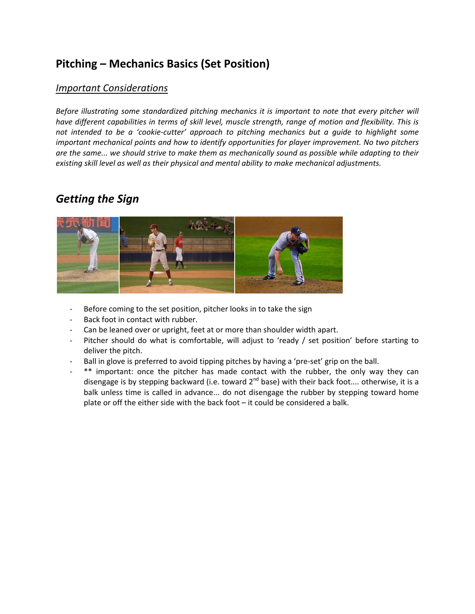# **Pitching – Mechanics Basics (Set Position)**

#### *Important Considerations*

*Before illustrating some standardized pitching mechanics it is important to note that every pitcher will* have different capabilities in terms of skill level, muscle strength, range of motion and flexibility. This is *not intended to be a 'cookie‐cutter' approach to pitching mechanics but a guide to highlight some important mechanical points and how to identify opportunities for player improvement. No two pitchers* are the same... we should strive to make them as mechanically sound as possible while adapting to their *existing skill level as well as their physical and mental ability to make mechanical adjustments.*

## *Getting the Sign*



- Before coming to the set position, pitcher looks in to take the sign
- Back foot in contact with rubber.
- Can be leaned over or upright, feet at or more than shoulder width apart.
- Pitcher should do what is comfortable, will adjust to 'ready / set position' before starting to deliver the pitch.
- Ball in glove is preferred to avoid tipping pitches by having a 'pre-set' grip on the ball.
- \*\* important: once the pitcher has made contact with the rubber, the only way they can disengage is by stepping backward (i.e. toward  $2^{nd}$  base) with their back foot.... otherwise, it is a balk unless time is called in advance... do not disengage the rubber by stepping toward home plate or off the either side with the back foot – it could be considered a balk.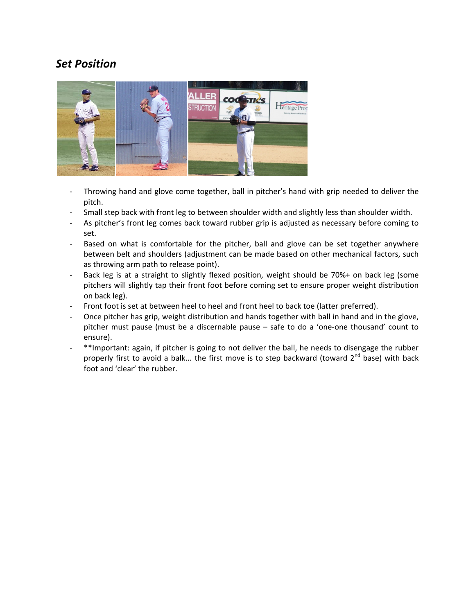### *Set Position*



- ‐ Throwing hand and glove come together, ball in pitcher's hand with grip needed to deliver the pitch.
- ‐ Small step back with front leg to between shoulder width and slightly less than shoulder width.
- ‐ As pitcher's front leg comes back toward rubber grip is adjusted as necessary before coming to set.
- ‐ Based on what is comfortable for the pitcher, ball and glove can be set together anywhere between belt and shoulders (adjustment can be made based on other mechanical factors, such as throwing arm path to release point).
- ‐ Back leg is at a straight to slightly flexed position, weight should be 70%+ on back leg (some pitchers will slightly tap their front foot before coming set to ensure proper weight distribution on back leg).
- Front foot is set at between heel to heel and front heel to back toe (latter preferred).
- ‐ Once pitcher has grip, weight distribution and hands together with ball in hand and in the glove, pitcher must pause (must be a discernable pause – safe to do a 'one-one thousand' count to ensure).
- ‐ \*\*Important: again, if pitcher is going to not deliver the ball, he needs to disengage the rubber properly first to avoid a balk... the first move is to step backward (toward  $2^{nd}$  base) with back foot and 'clear' the rubber.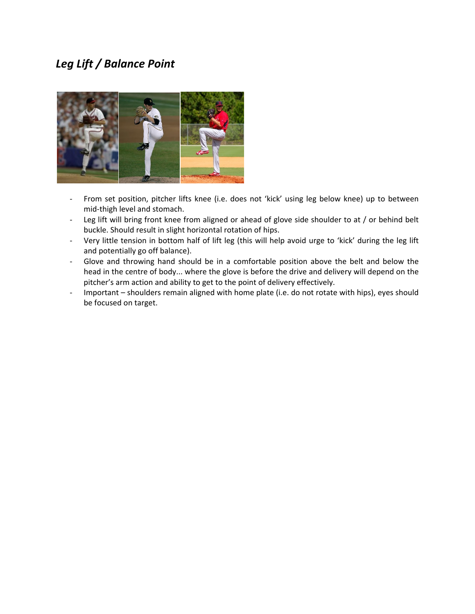# *Leg Lift / Balance Point*



- ‐ From set position, pitcher lifts knee (i.e. does not 'kick' using leg below knee) up to between mid‐thigh level and stomach.
- Leg lift will bring front knee from aligned or ahead of glove side shoulder to at / or behind belt buckle. Should result in slight horizontal rotation of hips.
- ‐ Very little tension in bottom half of lift leg (this will help avoid urge to 'kick' during the leg lift and potentially go off balance).
- ‐ Glove and throwing hand should be in a comfortable position above the belt and below the head in the centre of body... where the glove is before the drive and delivery will depend on the pitcher's arm action and ability to get to the point of delivery effectively.
- ‐ Important shoulders remain aligned with home plate (i.e. do not rotate with hips), eyes should be focused on target.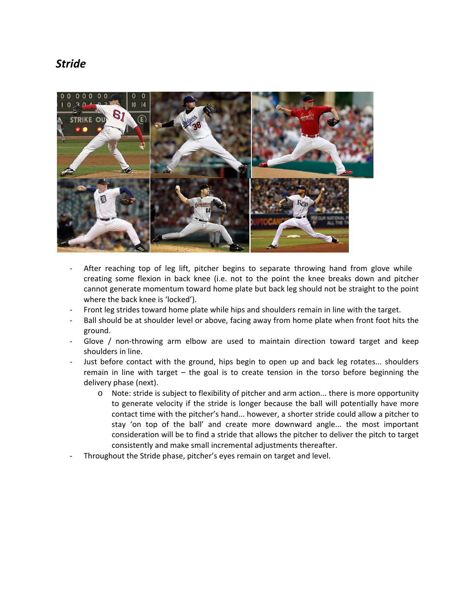#### *Stride*



- After reaching top of leg lift, pitcher begins to separate throwing hand from glove while creating some flexion in back knee (i.e. not to the point the knee breaks down and pitcher cannot generate momentum toward home plate but back leg should not be straight to the point where the back knee is 'locked').
- ‐ Front leg strides toward home plate while hips and shoulders remain in line with the target.
- Ball should be at shoulder level or above, facing away from home plate when front foot hits the ground.
- Glove / non-throwing arm elbow are used to maintain direction toward target and keep shoulders in line.
- Just before contact with the ground, hips begin to open up and back leg rotates... shoulders remain in line with target – the goal is to create tension in the torso before beginning the delivery phase (next).
	- o Note: stride is subject to flexibility of pitcher and arm action... there is more opportunity to generate velocity if the stride is longer because the ball will potentially have more contact time with the pitcher's hand... however, a shorter stride could allow a pitcher to stay 'on top of the ball' and create more downward angle... the most important consideration will be to find a stride that allows the pitcher to deliver the pitch to target consistently and make small incremental adjustments thereafter.
- ‐ Throughout the Stride phase, pitcher's eyes remain on target and level.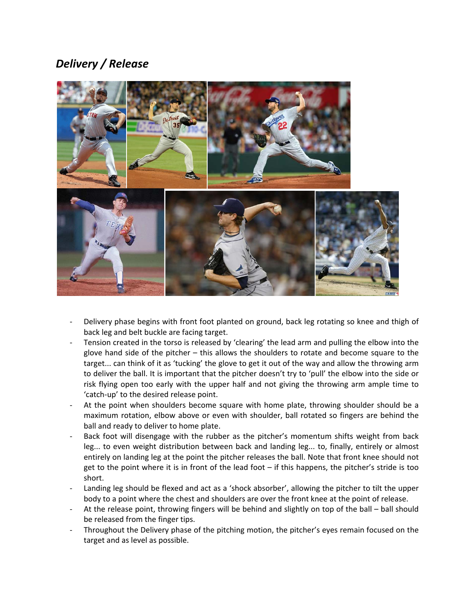# *Delivery / Release*



- Delivery phase begins with front foot planted on ground, back leg rotating so knee and thigh of back leg and belt buckle are facing target.
- Tension created in the torso is released by 'clearing' the lead arm and pulling the elbow into the glove hand side of the pitcher – this allows the shoulders to rotate and become square to the target... can think of it as 'tucking' the glove to get it out of the way and allow the throwing arm to deliver the ball. It is important that the pitcher doesn't try to 'pull' the elbow into the side or risk flying open too early with the upper half and not giving the throwing arm ample time to 'catch‐up' to the desired release point.
- At the point when shoulders become square with home plate, throwing shoulder should be a maximum rotation, elbow above or even with shoulder, ball rotated so fingers are behind the ball and ready to deliver to home plate.
- Back foot will disengage with the rubber as the pitcher's momentum shifts weight from back leg... to even weight distribution between back and landing leg... to, finally, entirely or almost entirely on landing leg at the point the pitcher releases the ball. Note that front knee should not get to the point where it is in front of the lead foot – if this happens, the pitcher's stride is too short.
- Landing leg should be flexed and act as a 'shock absorber', allowing the pitcher to tilt the upper body to a point where the chest and shoulders are over the front knee at the point of release.
- ‐ At the release point, throwing fingers will be behind and slightly on top of the ball ball should be released from the finger tips.
- ‐ Throughout the Delivery phase of the pitching motion, the pitcher's eyes remain focused on the target and as level as possible.